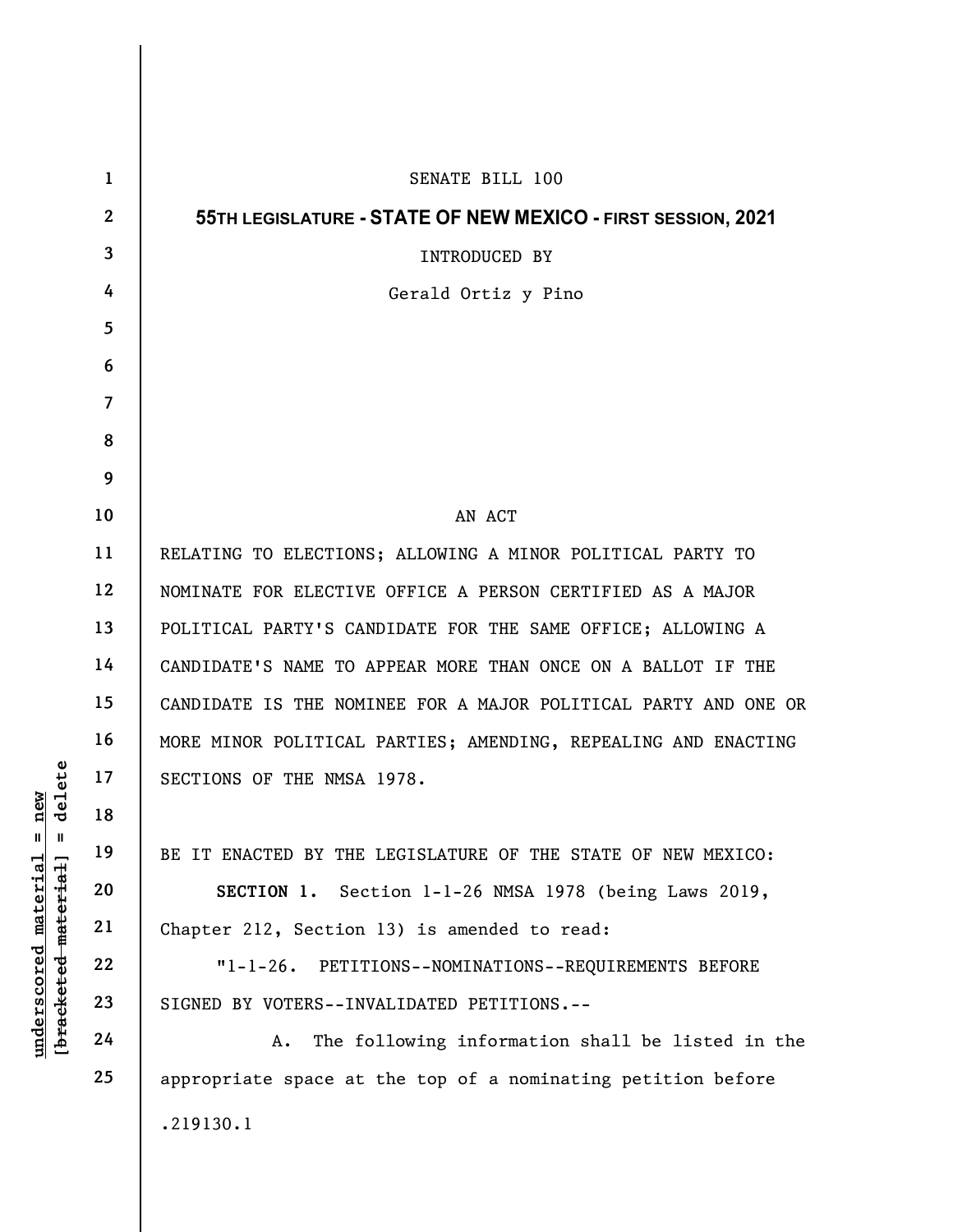|                                                                                                                  | $\mathbf 1$  | SENATE BILL 100                                                 |
|------------------------------------------------------------------------------------------------------------------|--------------|-----------------------------------------------------------------|
| delete<br>new<br>$\blacksquare$<br>$\mathbf{I}$<br><u>material</u><br>[bracketed-material]<br><u>underscored</u> | $\mathbf{2}$ | 55TH LEGISLATURE - STATE OF NEW MEXICO - FIRST SESSION, 2021    |
|                                                                                                                  | $\mathbf{3}$ | INTRODUCED BY                                                   |
|                                                                                                                  | 4            | Gerald Ortiz y Pino                                             |
|                                                                                                                  | 5            |                                                                 |
|                                                                                                                  | 6            |                                                                 |
|                                                                                                                  | 7            |                                                                 |
|                                                                                                                  | 8            |                                                                 |
|                                                                                                                  | 9            |                                                                 |
|                                                                                                                  | 10           | AN ACT                                                          |
|                                                                                                                  | 11           | RELATING TO ELECTIONS; ALLOWING A MINOR POLITICAL PARTY TO      |
|                                                                                                                  | 12           | NOMINATE FOR ELECTIVE OFFICE A PERSON CERTIFIED AS A MAJOR      |
|                                                                                                                  | 13           | POLITICAL PARTY'S CANDIDATE FOR THE SAME OFFICE; ALLOWING A     |
|                                                                                                                  | 14           | CANDIDATE'S NAME TO APPEAR MORE THAN ONCE ON A BALLOT IF THE    |
|                                                                                                                  | 15           | CANDIDATE IS THE NOMINEE FOR A MAJOR POLITICAL PARTY AND ONE OR |
|                                                                                                                  | 16           | MORE MINOR POLITICAL PARTIES; AMENDING, REPEALING AND ENACTING  |
|                                                                                                                  | 17           | SECTIONS OF THE NMSA 1978.                                      |
|                                                                                                                  | 18           |                                                                 |
|                                                                                                                  | 19           | BE IT ENACTED BY THE LEGISLATURE OF THE STATE OF NEW MEXICO:    |
|                                                                                                                  | 20           | SECTION 1. Section 1-1-26 NMSA 1978 (being Laws 2019,           |
|                                                                                                                  | 21           | Chapter 212, Section 13) is amended to read:                    |
|                                                                                                                  | 22           | "1-1-26. PETITIONS--NOMINATIONS--REQUIREMENTS BEFORE            |
|                                                                                                                  | 23           | SIGNED BY VOTERS--INVALIDATED PETITIONS.--                      |
|                                                                                                                  | 24           | The following information shall be listed in the<br>Α.          |
|                                                                                                                  | 25           | appropriate space at the top of a nominating petition before    |
|                                                                                                                  |              | .219130.1                                                       |
|                                                                                                                  |              |                                                                 |

 $\overline{\phantom{a}}$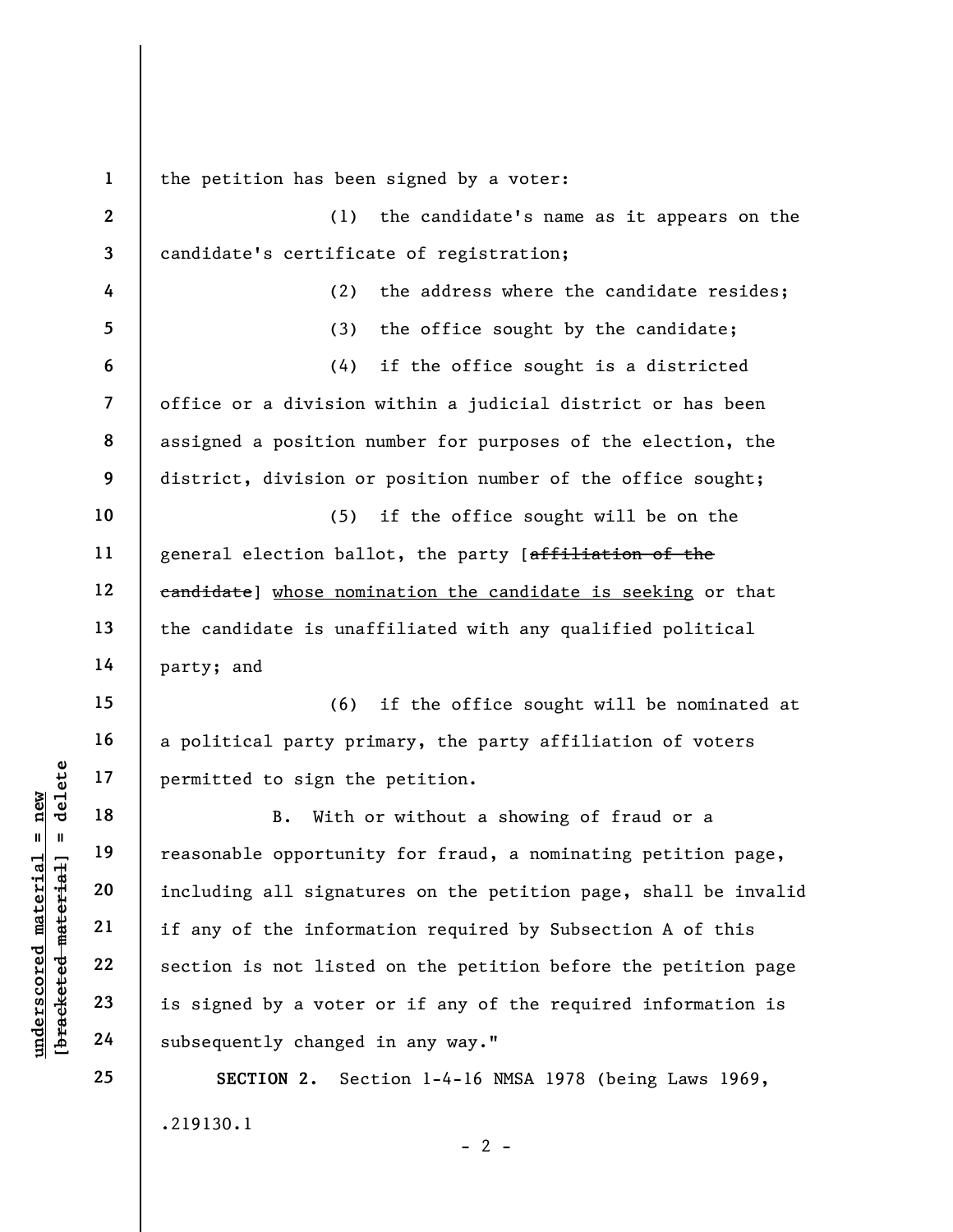underscored material = new [bracketed material] = delete 1 2 3 4 5 6 7 8 9 10 11 12 13 14 15 16 17 18 19 20 21 22 23 24 25 the petition has been signed by a voter: (1) the candidate's name as it appears on the candidate's certificate of registration; (2) the address where the candidate resides; (3) the office sought by the candidate; (4) if the office sought is a districted office or a division within a judicial district or has been assigned a position number for purposes of the election, the district, division or position number of the office sought; (5) if the office sought will be on the general election ballot, the party [affiliation of the eandidate) whose nomination the candidate is seeking or that the candidate is unaffiliated with any qualified political party; and (6) if the office sought will be nominated at a political party primary, the party affiliation of voters permitted to sign the petition. B. With or without a showing of fraud or a reasonable opportunity for fraud, a nominating petition page, including all signatures on the petition page, shall be invalid if any of the information required by Subsection A of this section is not listed on the petition before the petition page is signed by a voter or if any of the required information is subsequently changed in any way." SECTION 2. Section 1-4-16 NMSA 1978 (being Laws 1969,

 $- 2 -$ 

.219130.1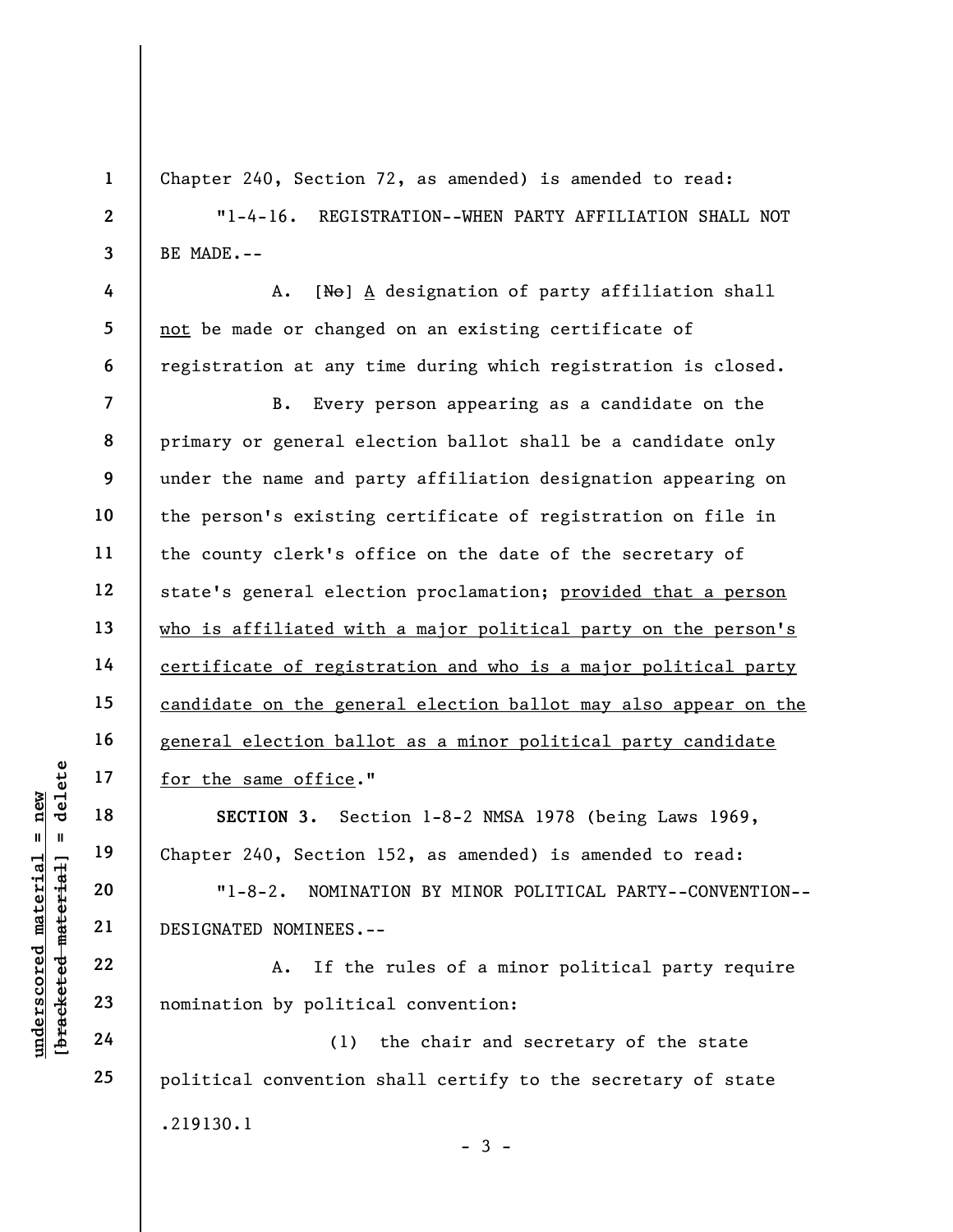Chapter 240, Section 72, as amended) is amended to read:

"1-4-16. REGISTRATION--WHEN PARTY AFFILIATION SHALL NOT BE MADE.--

A. [No] A designation of party affiliation shall not be made or changed on an existing certificate of registration at any time during which registration is closed.

7 8 9 10 11 12 13 14 15 16 17 B. Every person appearing as a candidate on the primary or general election ballot shall be a candidate only under the name and party affiliation designation appearing on the person's existing certificate of registration on file in the county clerk's office on the date of the secretary of state's general election proclamation; provided that a person who is affiliated with a major political party on the person's certificate of registration and who is a major political party candidate on the general election ballot may also appear on the general election ballot as a minor political party candidate for the same office."

SECTION 3. Section 1-8-2 NMSA 1978 (being Laws 1969, Chapter 240, Section 152, as amended) is amended to read:

"1-8-2. NOMINATION BY MINOR POLITICAL PARTY--CONVENTION-- DESIGNATED NOMINEES.--

A. If the rules of a minor political party require nomination by political convention:

(1) the chair and secretary of the state political convention shall certify to the secretary of state .219130.1  $-3 -$ 

UNDER 17<br>
UNDER 18<br>
UNDER 19<br>
UNDER 19<br>
UNDER 19<br>
UNDER 20<br>
UNDER 22<br>
UNDER 22<br>
UNDER 19<br>
UNDER 22<br>
23<br>
24<br>
UNDER 19<br>
24<br>
24<br>
CONTING:<br>
CONTING:<br>
CONTING:<br>
CONTING:<br>
A. If the<br>
CONTING:<br>
CONTING:<br>
CONTING:<br>
A. If the<br>
CONT

18

19

20

21

22

23

24

25

1

2

3

4

5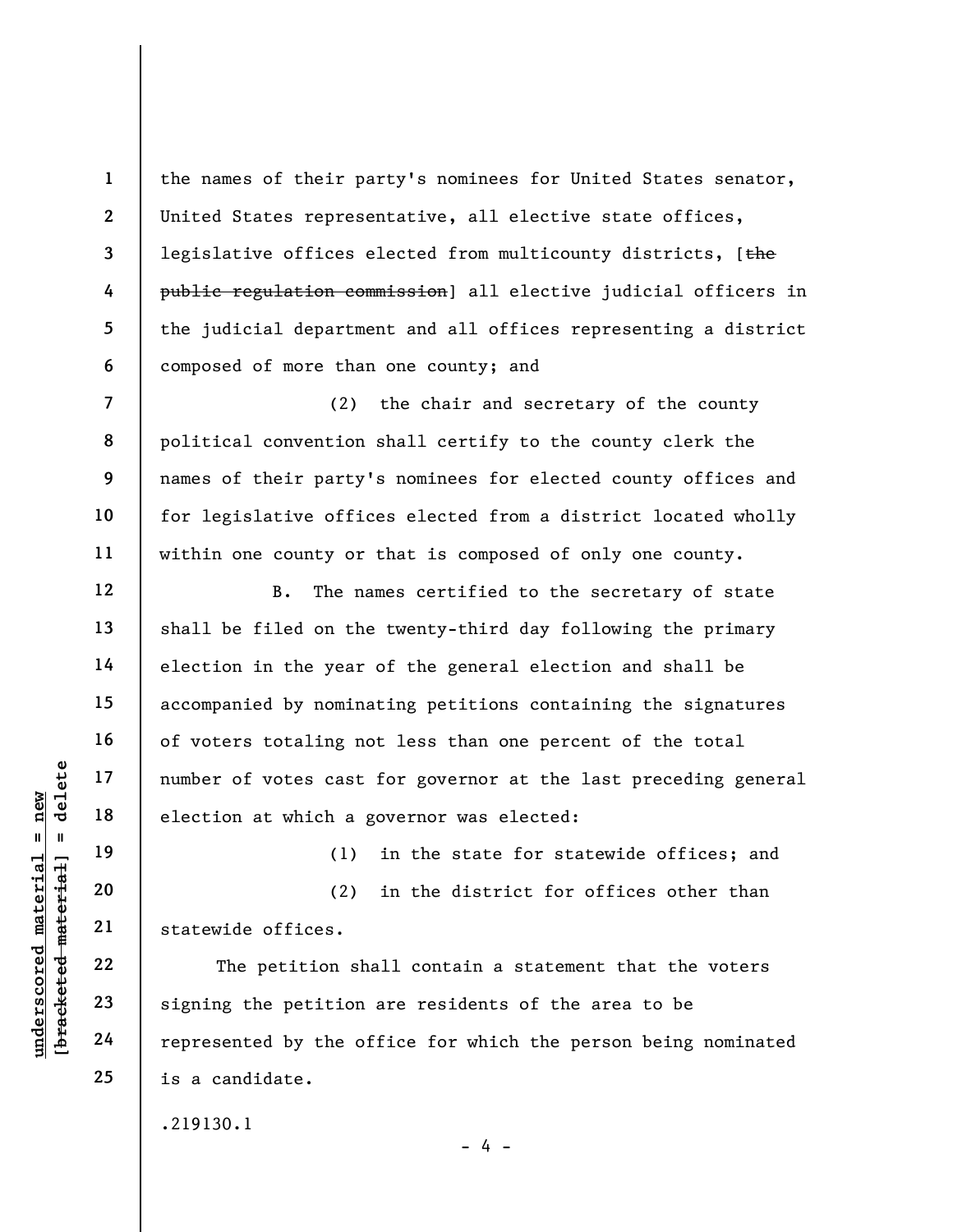the names of their party's nominees for United States senator, United States representative, all elective state offices, legislative offices elected from multicounty districts, [the public regulation commission] all elective judicial officers in the judicial department and all offices representing a district composed of more than one county; and

(2) the chair and secretary of the county political convention shall certify to the county clerk the names of their party's nominees for elected county offices and for legislative offices elected from a district located wholly within one county or that is composed of only one county.

B. The names certified to the secretary of state shall be filed on the twenty-third day following the primary election in the year of the general election and shall be accompanied by nominating petitions containing the signatures of voters totaling not less than one percent of the total number of votes cast for governor at the last preceding general election at which a governor was elected:

(1) in the state for statewide offices; and

(2) in the district for offices other than statewide offices.

under of votes cast<br>
and the selection at which a g<br>
election at which a g<br>
election at which a g<br>
(1)<br>
(2)<br>
guard the selection shape<br>
21<br>
22<br>
Signing the petition shape<br>
24<br>
Perfection shape<br>
24<br>
Perfection shape<br>
24<br>
Pe The petition shall contain a statement that the voters signing the petition are residents of the area to be represented by the office for which the person being nominated is a candidate.

 $- 4 -$ 

.219130.1

1

2

3

4

5

6

7

8

9

10

11

12

13

14

15

16

17

18

19

20

21

22

23

24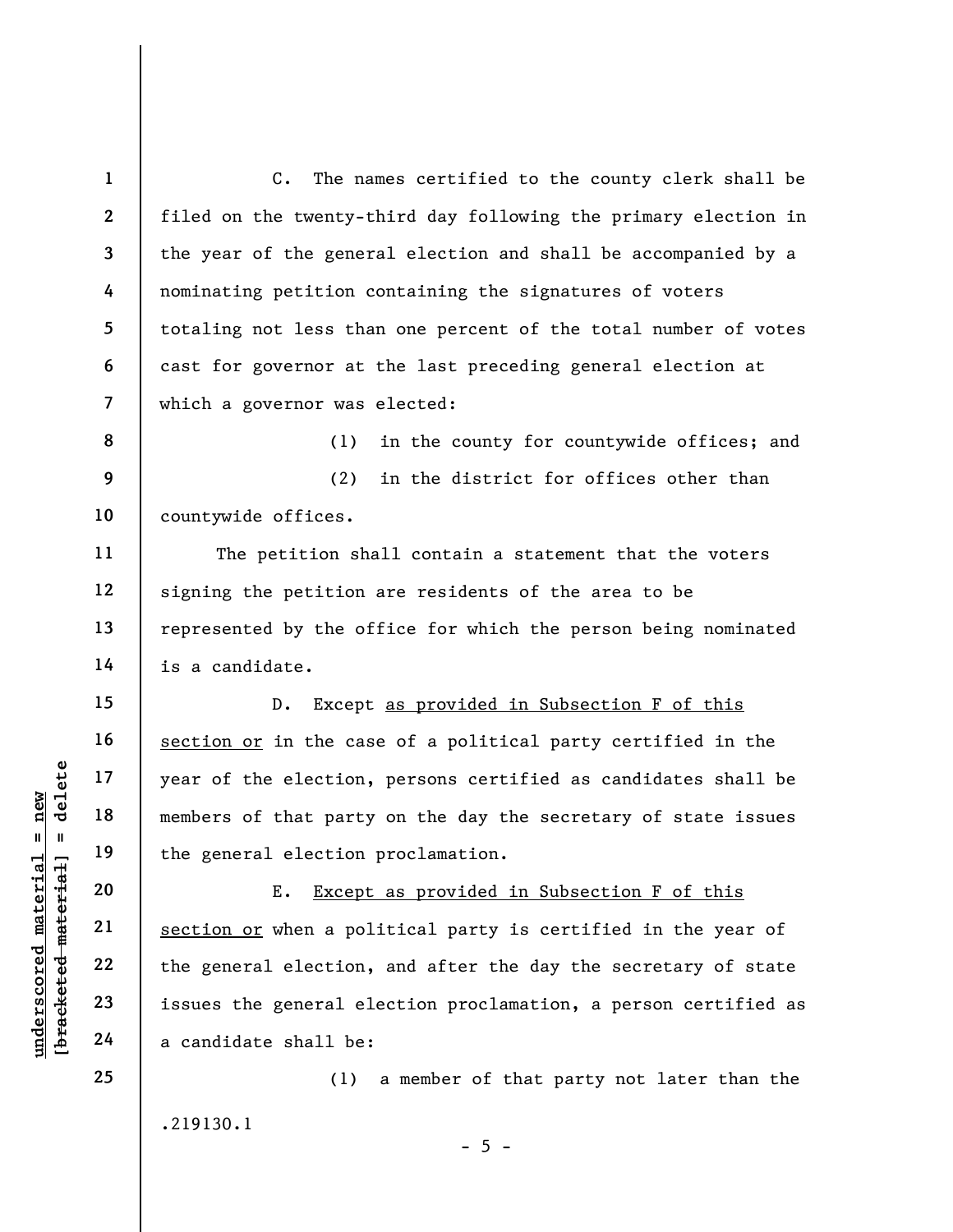2 3 7 C. The names certified to the county clerk shall be filed on the twenty-third day following the primary election in the year of the general election and shall be accompanied by a nominating petition containing the signatures of voters totaling not less than one percent of the total number of votes cast for governor at the last preceding general election at which a governor was elected:

(1) in the county for countywide offices; and

9 10 (2) in the district for offices other than countywide offices.

The petition shall contain a statement that the voters signing the petition are residents of the area to be represented by the office for which the person being nominated is a candidate.

D. Except as provided in Subsection F of this section or in the case of a political party certified in the year of the election, persons certified as candidates shall be members of that party on the day the secretary of state issues the general election proclamation.

underscored material = new [bracketed material] = delete E. Except as provided in Subsection F of this section or when a political party is certified in the year of the general election, and after the day the secretary of state issues the general election proclamation, a person certified as a candidate shall be:

.219130.1

(1) a member of that party not later than the

25

1

4

5

6

8

11

12

13

14

15

16

17

18

19

20

21

22

23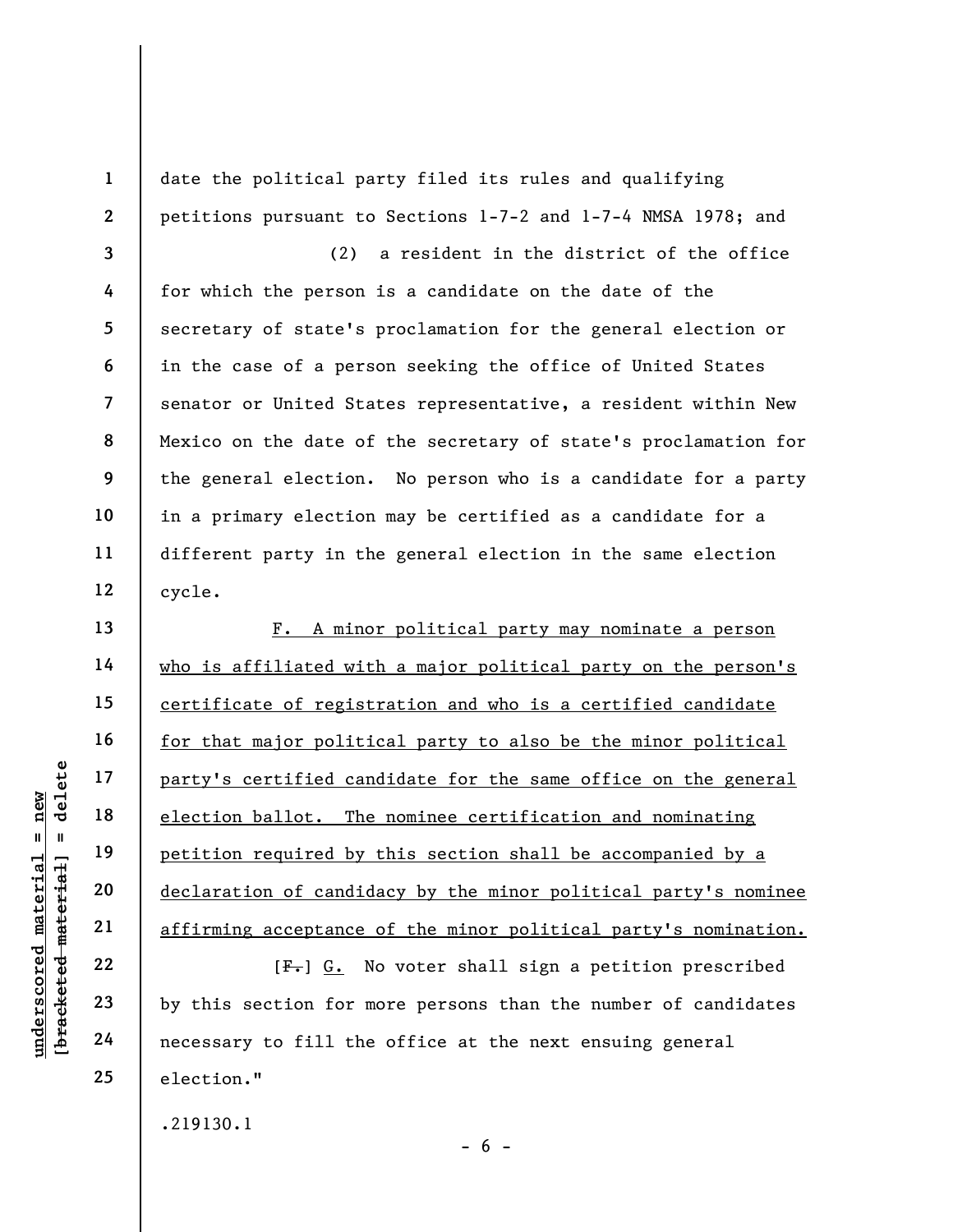1 2 3 4 5 6 7 8 9 10 11 12 date the political party filed its rules and qualifying petitions pursuant to Sections 1-7-2 and 1-7-4 NMSA 1978; and (2) a resident in the district of the office for which the person is a candidate on the date of the secretary of state's proclamation for the general election or in the case of a person seeking the office of United States senator or United States representative, a resident within New Mexico on the date of the secretary of state's proclamation for the general election. No person who is a candidate for a party in a primary election may be certified as a candidate for a different party in the general election in the same election cycle.

UN DEN TRINS CONTROLLED MANUSCRIP OF THE PRINCIP OF THE POST OF THE POST OF THE POST OF THE POST OF THE POST OF THE POST OF THE POST OF THE POST OF THE POST OF THE POST OF THE POST OF THE POST OF THE POST OF THE POST OF TH F. A minor political party may nominate a person who is affiliated with a major political party on the person's certificate of registration and who is a certified candidate for that major political party to also be the minor political party's certified candidate for the same office on the general election ballot. The nominee certification and nominating petition required by this section shall be accompanied by a declaration of candidacy by the minor political party's nominee affirming acceptance of the minor political party's nomination.

 $[F<sub>1</sub>]$  G. No voter shall sign a petition prescribed by this section for more persons than the number of candidates necessary to fill the office at the next ensuing general election."

 $- 6 -$ 

.219130.1

13

14

15

16

17

18

19

20

21

22

23

24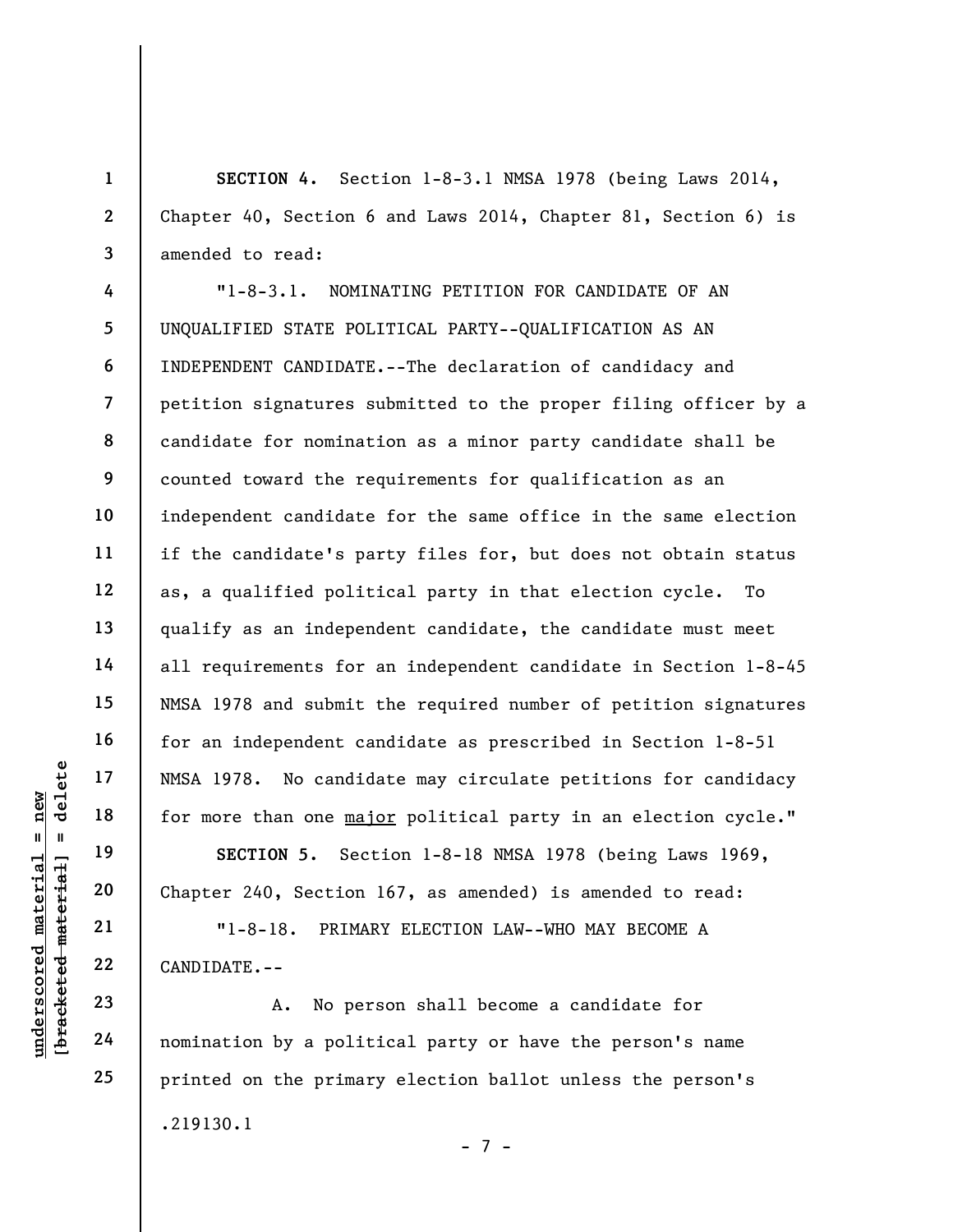SECTION 4. Section 1-8-3.1 NMSA 1978 (being Laws 2014, Chapter 40, Section 6 and Laws 2014, Chapter 81, Section 6) is amended to read:

UNESA 1978. No candid<br>
17 and 17 18<br>
18 for more than one <u>maj</u><br>
19 SECTION 5. Sec<br>
21 11-8-18. PRIMAL<br>
22 CANDIDATE.--<br>
23 A. No per<br>
24 nomination by a polit "1-8-3.1. NOMINATING PETITION FOR CANDIDATE OF AN UNQUALIFIED STATE POLITICAL PARTY--QUALIFICATION AS AN INDEPENDENT CANDIDATE.--The declaration of candidacy and petition signatures submitted to the proper filing officer by a candidate for nomination as a minor party candidate shall be counted toward the requirements for qualification as an independent candidate for the same office in the same election if the candidate's party files for, but does not obtain status as, a qualified political party in that election cycle. To qualify as an independent candidate, the candidate must meet all requirements for an independent candidate in Section 1-8-45 NMSA 1978 and submit the required number of petition signatures for an independent candidate as prescribed in Section 1-8-51 NMSA 1978. No candidate may circulate petitions for candidacy for more than one major political party in an election cycle."

SECTION 5. Section 1-8-18 NMSA 1978 (being Laws 1969, Chapter 240, Section 167, as amended) is amended to read:

"1-8-18. PRIMARY ELECTION LAW--WHO MAY BECOME A CANDIDATE.--

A. No person shall become a candidate for nomination by a political party or have the person's name printed on the primary election ballot unless the person's .219130.1 - 7 -

1

2

3

4

5

6

7

8

9

10

11

12

13

14

15

16

17

18

19

20

21

22

23

24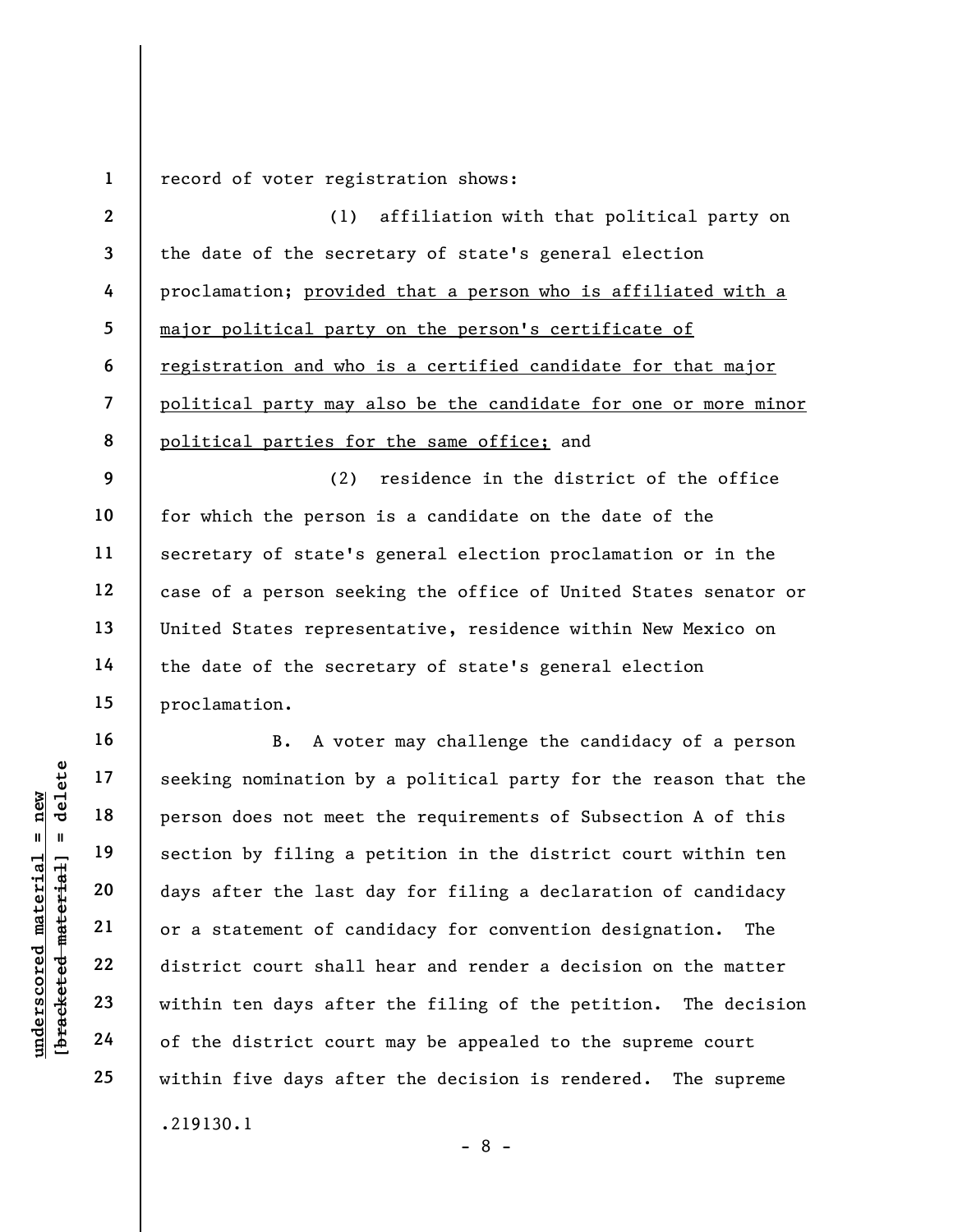1 record of voter registration shows:

2 3 4 5 6 7 8 (1) affiliation with that political party on the date of the secretary of state's general election proclamation; provided that a person who is affiliated with a major political party on the person's certificate of registration and who is a certified candidate for that major political party may also be the candidate for one or more minor political parties for the same office; and

9 10 11 12 13 14 15 (2) residence in the district of the office for which the person is a candidate on the date of the secretary of state's general election proclamation or in the case of a person seeking the office of United States senator or United States representative, residence within New Mexico on the date of the secretary of state's general election proclamation.

16

underscored material = new [bracketed material] = delete B. A voter may challenge the candidacy of a person seeking nomination by a political party for the reason that the person does not meet the requirements of Subsection A of this section by filing a petition in the district court within ten days after the last day for filing a declaration of candidacy or a statement of candidacy for convention designation. The district court shall hear and render a decision on the matter within ten days after the filing of the petition. The decision of the district court may be appealed to the supreme court within five days after the decision is rendered. The supreme .219130.1

- 8 -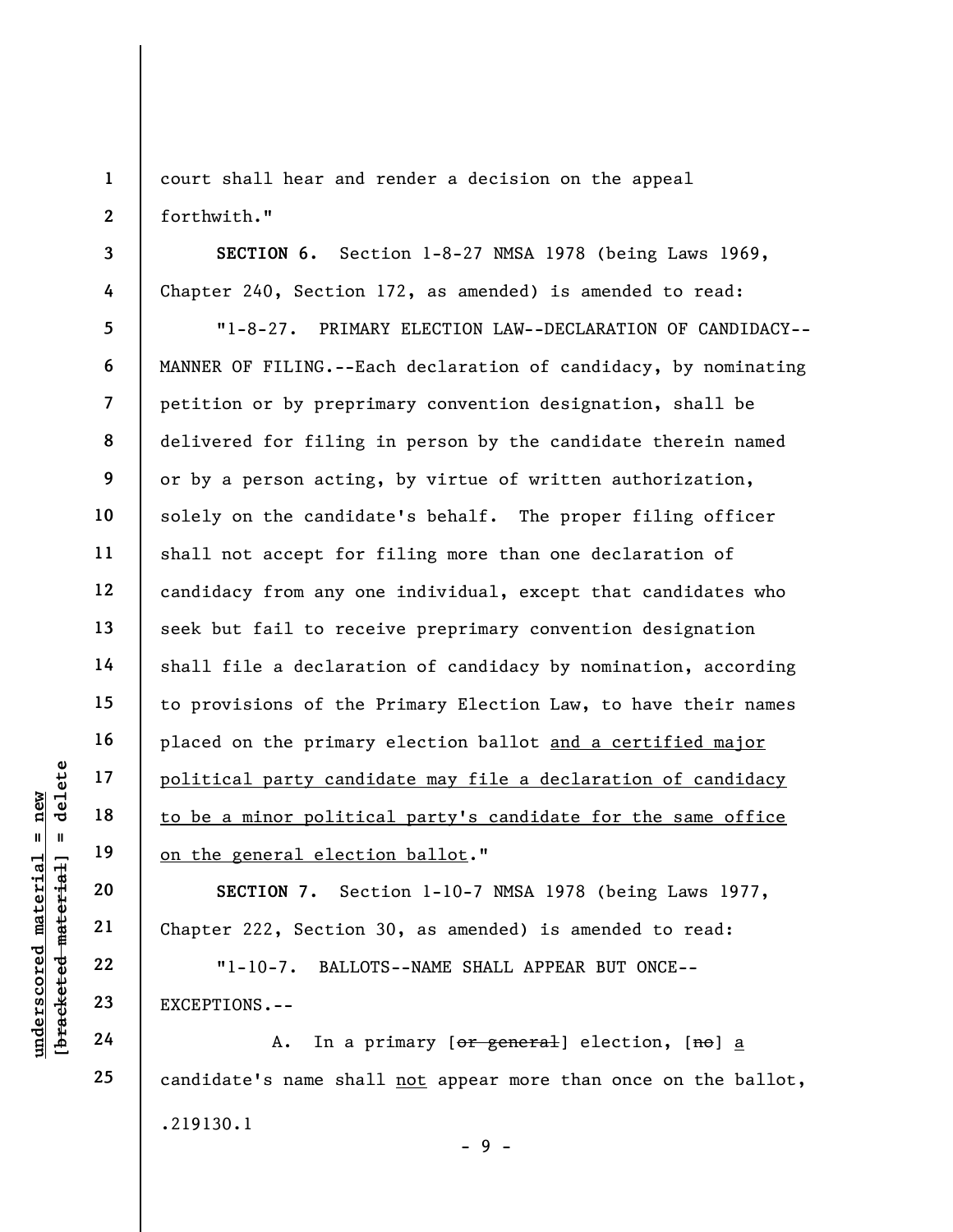1 2 court shall hear and render a decision on the appeal forthwith."

SECTION 6. Section 1-8-27 NMSA 1978 (being Laws 1969, Chapter 240, Section 172, as amended) is amended to read:

underschied material exceptions.<br>
Weight a new finance of the sense of the sense of the sense of the sense of the sense of the sense of the sense of the sense of the sense of the sense of the sense of the sense of the sens 5 6 7 8 9 10 11 12 13 14 15 16 17 18 19 "1-8-27. PRIMARY ELECTION LAW--DECLARATION OF CANDIDACY-- MANNER OF FILING.--Each declaration of candidacy, by nominating petition or by preprimary convention designation, shall be delivered for filing in person by the candidate therein named or by a person acting, by virtue of written authorization, solely on the candidate's behalf. The proper filing officer shall not accept for filing more than one declaration of candidacy from any one individual, except that candidates who seek but fail to receive preprimary convention designation shall file a declaration of candidacy by nomination, according to provisions of the Primary Election Law, to have their names placed on the primary election ballot and a certified major political party candidate may file a declaration of candidacy to be a minor political party's candidate for the same office on the general election ballot."

SECTION 7. Section 1-10-7 NMSA 1978 (being Laws 1977, Chapter 222, Section 30, as amended) is amended to read:

"1-10-7. BALLOTS--NAME SHALL APPEAR BUT ONCE-- EXCEPTIONS.--

A. In a primary [or general] election, [no] a candidate's name shall not appear more than once on the ballot, .219130.1 - 9 -

20

21

22

23

24

25

3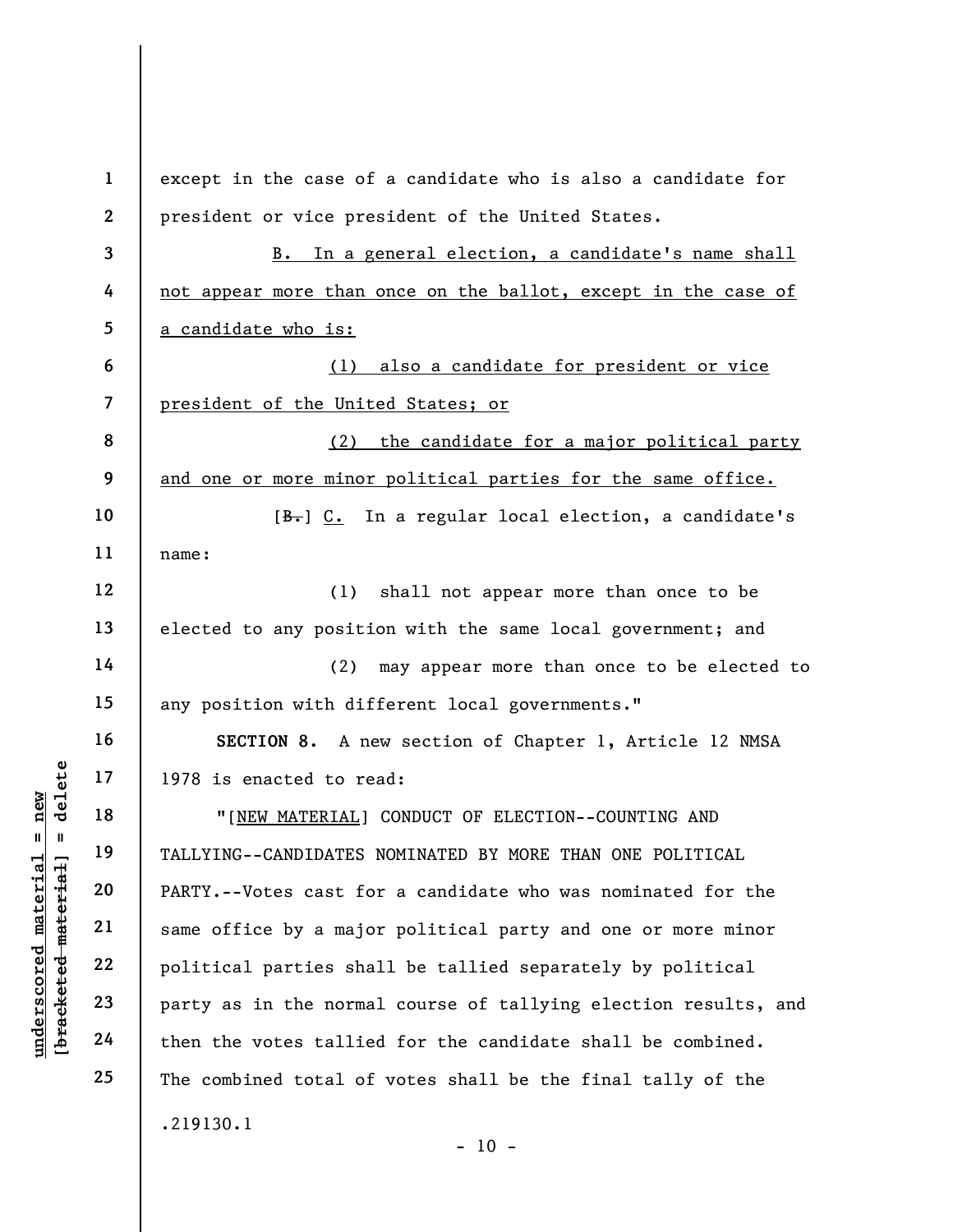UN 1978 is enacted to re<br>
1978 is enacted to re<br>
1989 is enacted to re<br>
1989 is enacted to re<br>
1989 is enacted to re<br>
1989 is enacted to re<br>
1989 is enacted to re<br>
1989 TALLYING--CANDIDATES<br>
2089 PARTY.--Votes cast for<br>
22 1 2 3 4 5 6 7 8 9 10 11 12 13 14 15 16 17 18 19 20 21 22 23 24 25 except in the case of a candidate who is also a candidate for president or vice president of the United States. B. In a general election, a candidate's name shall not appear more than once on the ballot, except in the case of a candidate who is: (1) also a candidate for president or vice president of the United States; or (2) the candidate for a major political party and one or more minor political parties for the same office. [B.] C. In a regular local election, a candidate's name: (1) shall not appear more than once to be elected to any position with the same local government; and (2) may appear more than once to be elected to any position with different local governments." SECTION 8. A new section of Chapter 1, Article 12 NMSA 1978 is enacted to read: "[NEW MATERIAL] CONDUCT OF ELECTION--COUNTING AND TALLYING--CANDIDATES NOMINATED BY MORE THAN ONE POLITICAL PARTY.--Votes cast for a candidate who was nominated for the same office by a major political party and one or more minor political parties shall be tallied separately by political party as in the normal course of tallying election results, and then the votes tallied for the candidate shall be combined. The combined total of votes shall be the final tally of the .219130.1

 $- 10 -$